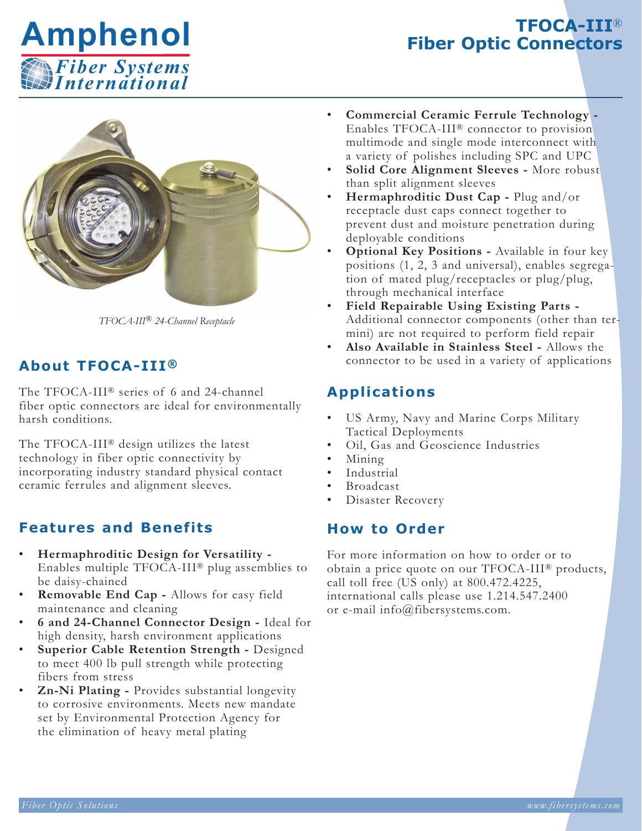

# **TFOCA-III**® **Fiber Optic Connectors**



*TFOCA-III® 24-Channel Receptacle*

## **About TFOCA-III®**

The TFOCA-III® series of 6 and 24-channel fiber optic connectors are ideal for environmentally harsh conditions.

The TFOCA-III® design utilizes the latest technology in fiber optic connectivity by incorporating industry standard physical contact ceramic ferrules and alignment sleeves.

### **Features and Benefits**

- **Hermaphroditic Design for Versatility -** Enables multiple TFOCA-III® plug assemblies to be daisy-chained
- **Removable End Cap -** Allows for easy field maintenance and cleaning
- **6 and 24-Channel Connector Design -** Ideal for high density, harsh environment applications
- **Superior Cable Retention Strength -** Designed to meet 400 lb pull strength while protecting fibers from stress
- **Zn-Ni Plating -** Provides substantial longevity to corrosive environments. Meets new mandate set by Environmental Protection Agency for the elimination of heavy metal plating
- **Commercial Ceramic Ferrule Technology -** Enables TFOCA-III® connector to provision multimode and single mode interconnect with a variety of polishes including SPC and UPC
- **Solid Core Alignment Sleeves -** More robust than split alignment sleeves
- **Hermaphroditic Dust Cap -** Plug and/or receptacle dust caps connect together to prevent dust and moisture penetration during deployable conditions
- **Optional Key Positions -** Available in four key positions (1, 2, 3 and universal), enables segregation of mated plug/receptacles or plug/plug, through mechanical interface
- **Field Repairable Using Existing Parts -** Additional connector components (other than termini) are not required to perform field repair
- **Also Available in Stainless Steel -** Allows the connector to be used in a variety of applications

### **Applications**

- US Army, Navy and Marine Corps Military Tactical Deployments
- Oil, Gas and Geoscience Industries
- Mining
- **Industrial**
- **Broadcast**
- Disaster Recovery

#### **How to Order**

For more information on how to order or to obtain a price quote on our TFOCA-III® products, call toll free (US only) at 800.472.4225, international calls please use 1.214.547.2400 or e-mail info@fibersystems.com.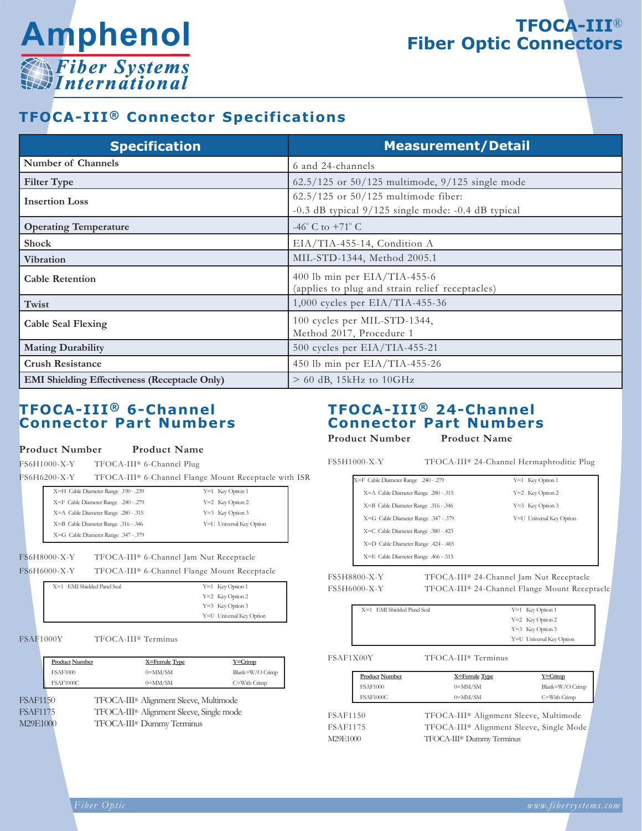

# **TFOCA-III**® **Fiber Optic Connectors**

### **TFOCA-III® Connector Specifications**

| <b>Specification</b>                                 | <b>Measurement/Detail</b>                                                                           |
|------------------------------------------------------|-----------------------------------------------------------------------------------------------------|
| <b>Number of Channels</b>                            | 6 and 24-channels                                                                                   |
| <b>Filter Type</b>                                   | $62.5/125$ or $50/125$ multimode, $9/125$ single mode                                               |
| <b>Insertion Loss</b>                                | $62.5/125$ or $50/125$ multimode fiber:<br>$-0.3$ dB typical $9/125$ single mode: $-0.4$ dB typical |
| <b>Operating Temperature</b>                         | -46 $^{\circ}$ C to +71 $^{\circ}$ C                                                                |
| <b>Shock</b>                                         | EIA/TIA-455-14, Condition A                                                                         |
| <b>Vibration</b>                                     | MIL-STD-1344, Method 2005.1                                                                         |
| <b>Cable Retention</b>                               | 400 lb min per EIA/TIA-455-6<br>(applies to plug and strain relief receptacles)                     |
| Twist                                                | 1,000 cycles per $EIA/TIA-455-36$                                                                   |
| <b>Cable Seal Flexing</b>                            | 100 cycles per MIL-STD-1344,<br>Method 2017, Procedure 1                                            |
| <b>Mating Durability</b>                             | 500 cycles per EIA/TIA-455-21                                                                       |
| <b>Crush Resistance</b>                              | 450 lb min per EIA/TIA-455-26                                                                       |
| <b>EMI Shielding Effectiveness (Receptacle Only)</b> | $> 60$ dB, 15kHz to 10GHz                                                                           |

#### **TFOCA-III® 6-Channel Connector Part Numbers**

## **Product Number Product Name**

FS6H1000-X-Y TFOCA-III® 6-Channel Plug

FS6H6200-X-Y TFOCA-III® 6-Channel Flange Mount Receptacle with ISR

| X=H Cable Diameter Range .190 - .239 | $Y=1$ Key Option 1       |
|--------------------------------------|--------------------------|
| X=F Cable Diameter Range .240 - .279 | $Y=2$ Key Option 2       |
| X=A Cable Diameter Range .280 - .315 | $Y=3$ Key Option 3       |
| X=B Cable Diameter Range .316 - .346 | Y=U Universal Key Option |
| X=G Cable Diameter Range .347 - .379 |                          |
|                                      |                          |

#### FS6H8000-X-Y TFOCA-III® 6-Channel Jam Nut Receptacle

FS6H6000-X-Y TFOCA-III® 6-Channel Flange Mount Receptacle

| X=1 EMI Shielded Panel Seal | $Y=1$ Key Option 1       |
|-----------------------------|--------------------------|
|                             | $Y=2$ Key Option 2       |
|                             | $Y=3$ Key Option 3       |
|                             | Y=U Universal Key Option |

FSAF1000Y TFOCA-III® Terminus

|                                  | <b>Product Number</b> | X=Ferrule Type                                                                                                                          | $Y = C$ rimp    |
|----------------------------------|-----------------------|-----------------------------------------------------------------------------------------------------------------------------------------|-----------------|
|                                  | <b>FSAF1000</b>       | $0 = MM/SM$                                                                                                                             | Blank=W/O Crimp |
|                                  | FSAF1000C             | $0 = MM/SM$                                                                                                                             | C=With Crimp    |
| FSAF1150<br>FSAF1175<br>M29E1000 |                       | TFOCA-III <sup>®</sup> Alignment Sleeve, Multimode<br>TFOCA-III <sup>®</sup> Alignment Sleeve, Single mode<br>TFOCA-III® Dummy Terminus |                 |

#### **TFOCA-III® 24-Channel Connector Part Numbers**

**Product Number Product Name**

| FS5H1000-X-Y                        |                                      | TFOCA-III <sup>®</sup> 24-Channel Hermaphroditic Plug |
|-------------------------------------|--------------------------------------|-------------------------------------------------------|
| X=F Cable Diameter Range .240 - 279 |                                      | $Y=1$ Key Option 1                                    |
|                                     | X=A Cable Diameter Range .280 - .315 | Y=2 Key Option 2                                      |
|                                     | X=B Cable Diameter Range .316 - .346 | Y=3 Key Option 3                                      |
|                                     | X=G Cable Diameter Range 347 - 379   | Y=U Universal Key Option                              |

| . | $\cdots$                             |  |
|---|--------------------------------------|--|
|   | X=E Cable Diameter Range .466 - .515 |  |
|   | X=D Cable Diameter Range .424 - .465 |  |
|   | X=C Cable Diameter Range .380 - .423 |  |

FS5H8800-X-Y TFOCA-III® 24-Channel Jam Nut Receptacle FS5H6000-X-Y TFOCA-III® 24-Channel Flange Mount Receptacle

|  | Y=1 Key Option |
|--|----------------|
|  | Y=2 Key Option |

Y=2 Key Option 2 Y=3 Key Option 3 Y=U Universal Key Option

#### FSAF1X00Y TFOCA-III® Terminus

X=1 EMI Shielded Panel Seal

| <b>Product Number</b> | X=Ferrule Type                                     | $Y = C$ rimp     |
|-----------------------|----------------------------------------------------|------------------|
| <b>FSAF1000</b>       | $0 = MM/SM$                                        | Blank=W/O Crimp  |
| <b>FSAF1000C</b>      | $0 = MM/SM$                                        | $C = With Crimp$ |
| <b>FSAF1150</b>       | TFOCA-III <sup>®</sup> Alignment Sleeve, Multimode |                  |

FSAF1175 TFOCA-III® Alignment Sleeve, Single Mode M29E1000 TFOCA-III® Dummy Terminus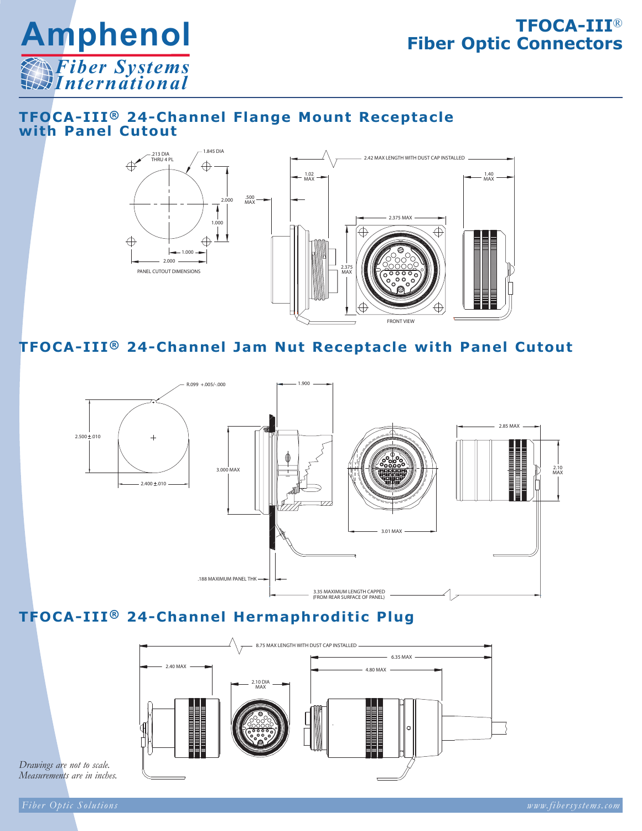

# **TFOCA-III**® **Fiber Optic Connectors**

#### **TFOCA-III® 24-Channel Flange Mount Receptacle with Panel Cutout**



**TFOCA-III® 24-Channel Jam Nut Receptacle with Panel Cutout**



# **TFOCA-III® 24-Channel Hermaphroditic Plug**



*Drawings are not to scale. Measurements are in inches.*